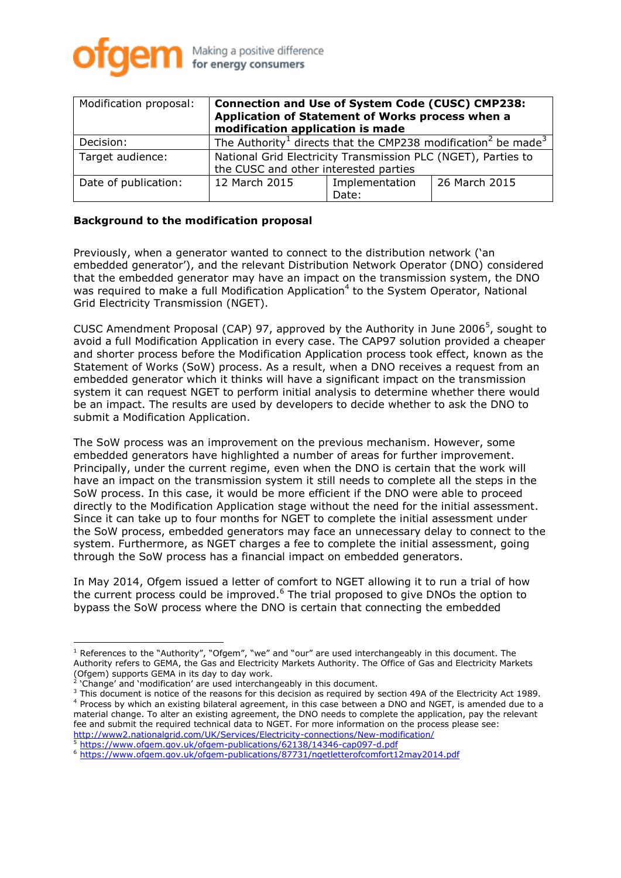

| Modification proposal: | <b>Connection and Use of System Code (CUSC) CMP238:</b><br>Application of Statement of Works process when a<br>modification application is made |                         |               |
|------------------------|-------------------------------------------------------------------------------------------------------------------------------------------------|-------------------------|---------------|
| Decision:              | The Authority <sup>1</sup> directs that the CMP238 modification <sup>2</sup> be made <sup>3</sup>                                               |                         |               |
| Target audience:       | National Grid Electricity Transmission PLC (NGET), Parties to<br>the CUSC and other interested parties                                          |                         |               |
| Date of publication:   | 12 March 2015                                                                                                                                   | Implementation<br>Date: | 26 March 2015 |

## **Background to the modification proposal**

Previously, when a generator wanted to connect to the distribution network ('an embedded generator'), and the relevant Distribution Network Operator (DNO) considered that the embedded generator may have an impact on the transmission system, the DNO was required to make a full Modification Application<sup>4</sup> to the System Operator, National Grid Electricity Transmission (NGET).

CUSC Amendment Proposal (CAP) 97, approved by the Authority in June 2006<sup>5</sup>, sought to avoid a full Modification Application in every case. The CAP97 solution provided a cheaper and shorter process before the Modification Application process took effect, known as the Statement of Works (SoW) process. As a result, when a DNO receives a request from an embedded generator which it thinks will have a significant impact on the transmission system it can request NGET to perform initial analysis to determine whether there would be an impact. The results are used by developers to decide whether to ask the DNO to submit a Modification Application.

The SoW process was an improvement on the previous mechanism. However, some embedded generators have highlighted a number of areas for further improvement. Principally, under the current regime, even when the DNO is certain that the work will have an impact on the transmission system it still needs to complete all the steps in the SoW process. In this case, it would be more efficient if the DNO were able to proceed directly to the Modification Application stage without the need for the initial assessment. Since it can take up to four months for NGET to complete the initial assessment under the SoW process, embedded generators may face an unnecessary delay to connect to the system. Furthermore, as NGET charges a fee to complete the initial assessment, going through the SoW process has a financial impact on embedded generators.

In May 2014, Ofgem issued a letter of comfort to NGET allowing it to run a trial of how the current process could be improved.<sup>6</sup> The trial proposed to give DNOs the option to bypass the SoW process where the DNO is certain that connecting the embedded

 $\overline{a}$  $<sup>1</sup>$  References to the "Authority", "Ofgem", "we" and "our" are used interchangeably in this document. The</sup> Authority refers to GEMA, the Gas and Electricity Markets Authority. The Office of Gas and Electricity Markets (Ofgem) supports GEMA in its day to day work. 2

<sup>&#</sup>x27;Change' and 'modification' are used interchangeably in this document.

<sup>&</sup>lt;sup>3</sup> This document is notice of the reasons for this decision as required by section 49A of the Electricity Act 1989. <sup>4</sup> Process by which an existing bilateral agreement, in this case between a DNO and NGET, is amended due to a material change. To alter an existing agreement, the DNO needs to complete the application, pay the relevant fee and submit the required technical data to NGET. For more information on the process please see: <http://www2.nationalgrid.com/UK/Services/Electricity-connections/New-modification/>

<https://www.ofgem.gov.uk/ofgem-publications/62138/14346-cap097-d.pdf>

<sup>6</sup> <https://www.ofgem.gov.uk/ofgem-publications/87731/ngetletterofcomfort12may2014.pdf>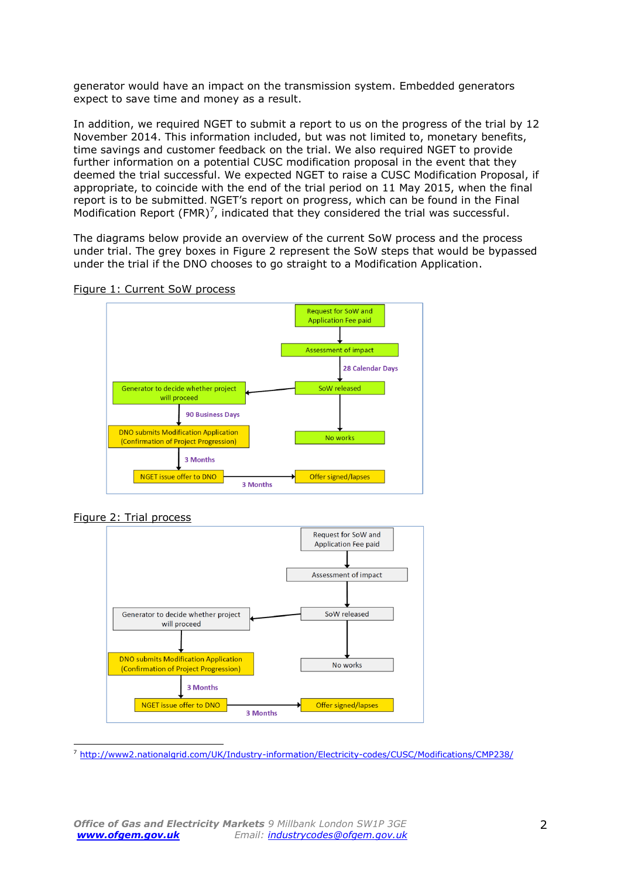generator would have an impact on the transmission system. Embedded generators expect to save time and money as a result.

In addition, we required NGET to submit a report to us on the progress of the trial by 12 November 2014. This information included, but was not limited to, monetary benefits, time savings and customer feedback on the trial. We also required NGET to provide further information on a potential CUSC modification proposal in the event that they deemed the trial successful. We expected NGET to raise a CUSC Modification Proposal, if appropriate, to coincide with the end of the trial period on 11 May 2015, when the final report is to be submitted. NGET's report on progress, which can be found in the Final Modification Report  $(FMR)^7$ , indicated that they considered the trial was successful.

The diagrams below provide an overview of the current SoW process and the process under trial. The grey boxes in Figure 2 represent the SoW steps that would be bypassed under the trial if the DNO chooses to go straight to a Modification Application.

Figure 1: Current SoW process



Figure 2: Trial process



 $\overline{a}$ <sup>7</sup> <http://www2.nationalgrid.com/UK/Industry-information/Electricity-codes/CUSC/Modifications/CMP238/>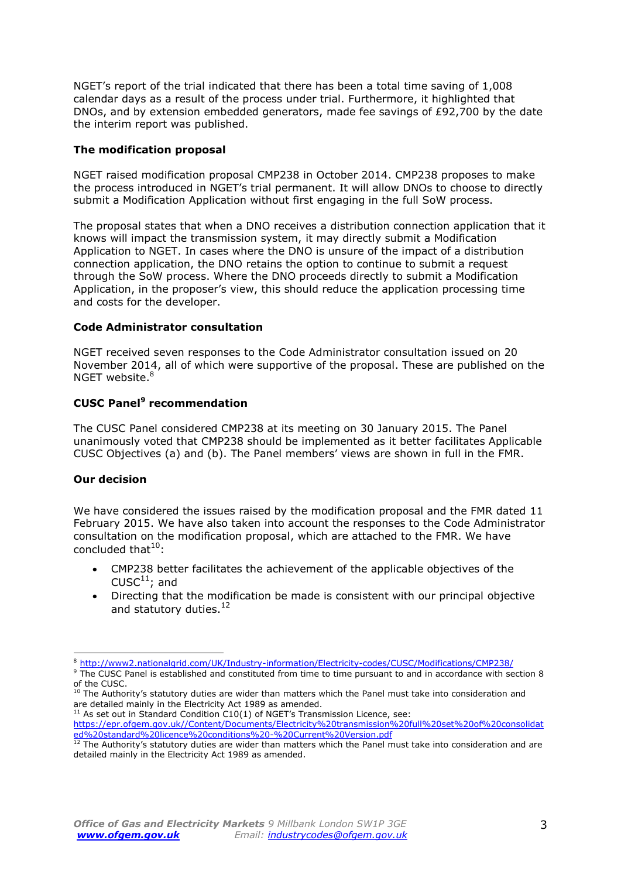NGET's report of the trial indicated that there has been a total time saving of 1,008 calendar days as a result of the process under trial. Furthermore, it highlighted that DNOs, and by extension embedded generators, made fee savings of £92,700 by the date the interim report was published.

## **The modification proposal**

NGET raised modification proposal CMP238 in October 2014. CMP238 proposes to make the process introduced in NGET's trial permanent. It will allow DNOs to choose to directly submit a Modification Application without first engaging in the full SoW process.

The proposal states that when a DNO receives a distribution connection application that it knows will impact the transmission system, it may directly submit a Modification Application to NGET. In cases where the DNO is unsure of the impact of a distribution connection application, the DNO retains the option to continue to submit a request through the SoW process. Where the DNO proceeds directly to submit a Modification Application, in the proposer's view, this should reduce the application processing time and costs for the developer.

## **Code Administrator consultation**

NGET received seven responses to the Code Administrator consultation issued on 20 November 2014, all of which were supportive of the proposal. These are published on the NGET website. 8

# **CUSC Panel<sup>9</sup> recommendation**

The CUSC Panel considered CMP238 at its meeting on 30 January 2015. The Panel unanimously voted that CMP238 should be implemented as it better facilitates Applicable CUSC Objectives (a) and (b). The Panel members' views are shown in full in the FMR.

#### **Our decision**

We have considered the issues raised by the modification proposal and the FMR dated 11 February 2015. We have also taken into account the responses to the Code Administrator consultation on the modification proposal, which are attached to the FMR. We have concluded that $10$ :

- CMP238 better facilitates the achievement of the applicable objectives of the CUSC $^{11}$ ; and
- Directing that the modification be made is consistent with our principal objective and statutory duties.<sup>12</sup>

<sup>11</sup> As set out in Standard Condition C10(1) of NGET's Transmission Licence, see:

 $\overline{a}$ <sup>8</sup> <http://www2.nationalgrid.com/UK/Industry-information/Electricity-codes/CUSC/Modifications/CMP238/>

<sup>&</sup>lt;sup>9</sup> The CUSC Panel is established and constituted from time to time pursuant to and in accordance with section 8 of the CUSC.

 $^{10}$  The Authority's statutory duties are wider than matters which the Panel must take into consideration and are detailed mainly in the Electricity Act 1989 as amended.

https://epr.ofgem.gov.uk//Content/Documents/Electricity%20transmission%20full%20set%20of%20consolidat ed%20standard%20licence%20conditions%20-%20Current%20Version.pdf

 $12$  The Authority's statutory duties are wider than matters which the Panel must take into consideration and are detailed mainly in the Electricity Act 1989 as amended.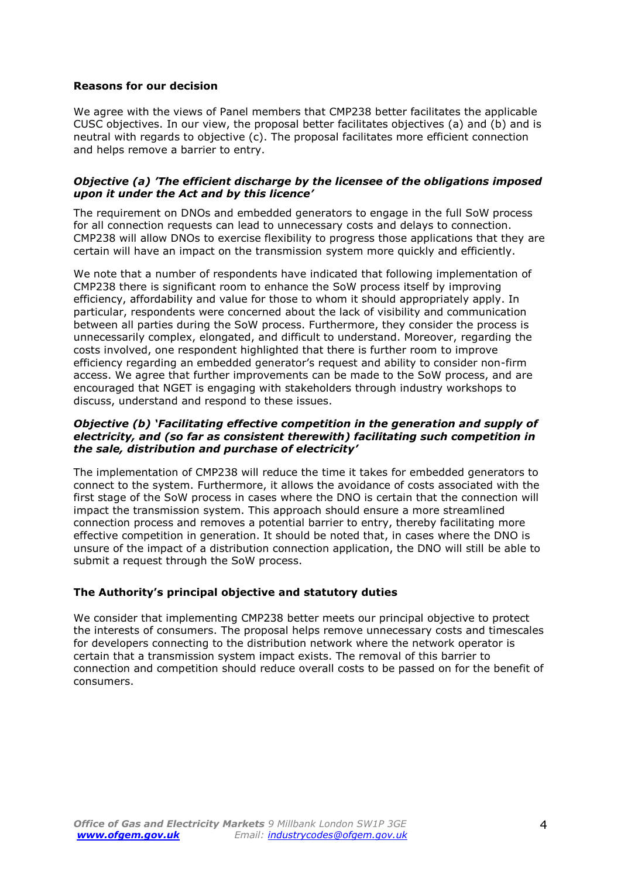### **Reasons for our decision**

We agree with the views of Panel members that CMP238 better facilitates the applicable CUSC objectives. In our view, the proposal better facilitates objectives (a) and (b) and is neutral with regards to objective (c). The proposal facilitates more efficient connection and helps remove a barrier to entry.

### *Objective (a) 'The efficient discharge by the licensee of the obligations imposed upon it under the Act and by this licence'*

The requirement on DNOs and embedded generators to engage in the full SoW process for all connection requests can lead to unnecessary costs and delays to connection. CMP238 will allow DNOs to exercise flexibility to progress those applications that they are certain will have an impact on the transmission system more quickly and efficiently.

We note that a number of respondents have indicated that following implementation of CMP238 there is significant room to enhance the SoW process itself by improving efficiency, affordability and value for those to whom it should appropriately apply. In particular, respondents were concerned about the lack of visibility and communication between all parties during the SoW process. Furthermore, they consider the process is unnecessarily complex, elongated, and difficult to understand. Moreover, regarding the costs involved, one respondent highlighted that there is further room to improve efficiency regarding an embedded generator's request and ability to consider non-firm access. We agree that further improvements can be made to the SoW process, and are encouraged that NGET is engaging with stakeholders through industry workshops to discuss, understand and respond to these issues.

## *Objective (b) 'Facilitating effective competition in the generation and supply of electricity, and (so far as consistent therewith) facilitating such competition in the sale, distribution and purchase of electricity'*

The implementation of CMP238 will reduce the time it takes for embedded generators to connect to the system. Furthermore, it allows the avoidance of costs associated with the first stage of the SoW process in cases where the DNO is certain that the connection will impact the transmission system. This approach should ensure a more streamlined connection process and removes a potential barrier to entry, thereby facilitating more effective competition in generation. It should be noted that, in cases where the DNO is unsure of the impact of a distribution connection application, the DNO will still be able to submit a request through the SoW process.

# **The Authority's principal objective and statutory duties**

We consider that implementing CMP238 better meets our principal objective to protect the interests of consumers. The proposal helps remove unnecessary costs and timescales for developers connecting to the distribution network where the network operator is certain that a transmission system impact exists. The removal of this barrier to connection and competition should reduce overall costs to be passed on for the benefit of consumers.